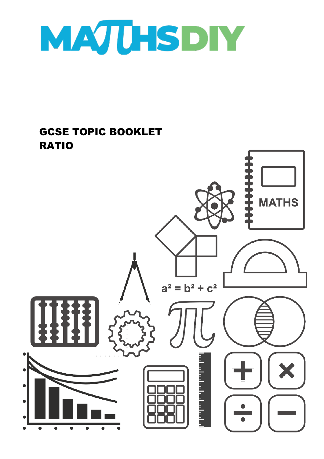

## GCSE TOPIC BOOKLET RATIO

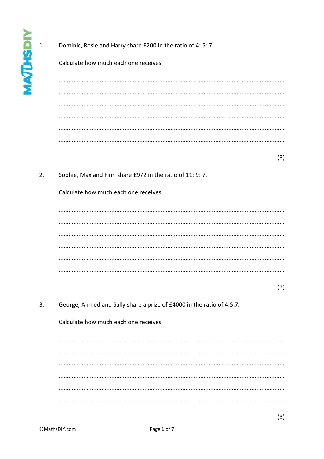## Dominic, Rosie and Harry share £200 in the ratio of 4: 5: 7.

Calculate how much each one receives.

 $(3)$ 

 $2.$ Sophie, Max and Finn share £972 in the ratio of 11: 9: 7.

Calculate how much each one receives.

 $(3)$ 

 $3.$ George, Ahmed and Sally share a prize of £4000 in the ratio of 4:5:7.

Calculate how much each one receives.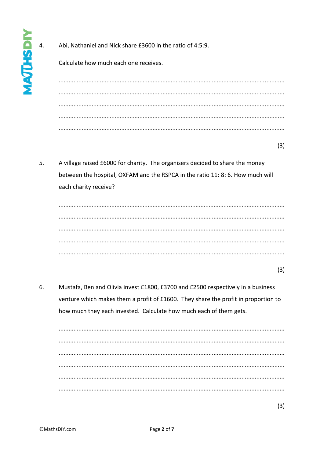Abi, Nathaniel and Nick share £3600 in the ratio of 4:5:9.

Calculate how much each one receives.

 $(3)$ 

5. A village raised £6000 for charity. The organisers decided to share the money between the hospital, OXFAM and the RSPCA in the ratio 11: 8: 6. How much will each charity receive?

| v<br>. .            |  |
|---------------------|--|
| o e<br>I<br>۰,<br>× |  |

 $(3)$ 

6. Mustafa, Ben and Olivia invest £1800, £3700 and £2500 respectively in a business venture which makes them a profit of £1600. They share the profit in proportion to how much they each invested. Calculate how much each of them gets.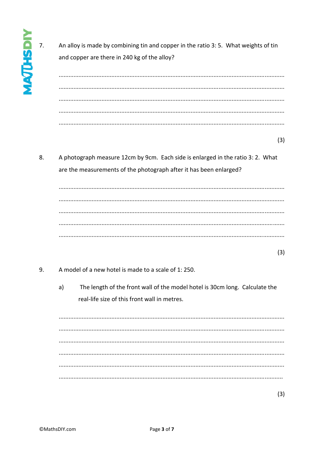An alloy is made by combining tin and copper in the ratio 3: 5. What weights of tin and copper are there in 240 kg of the alloy?

 $(3)$ 

8. A photograph measure 12cm by 9cm. Each side is enlarged in the ratio 3: 2. What are the measurements of the photograph after it has been enlarged?

 $(3)$ 

- $\mathsf{q}$ A model of a new hotel is made to a scale of 1:250.
	- $a)$ The length of the front wall of the model hotel is 30cm long. Calculate the real-life size of this front wall in metres.

 $(3)$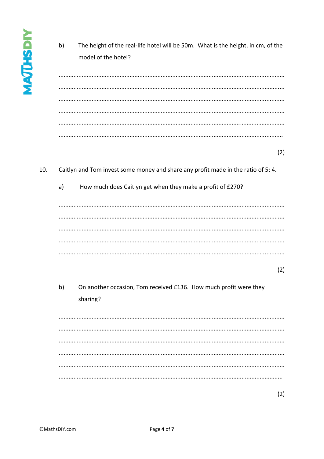$b)$ The height of the real-life hotel will be 50m. What is the height, in cm, of the model of the hotel? 

 $(2)$ 

## 10. Caitlyn and Tom invest some money and share any profit made in the ratio of 5: 4.

How much does Caitlyn get when they make a profit of £270?  $a)$ 

 $(2)$ 

 $b)$ On another occasion, Tom received £136. How much profit were they sharing?

 $(2)$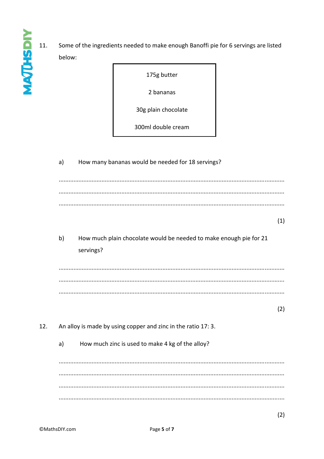$11.$ Some of the ingredients needed to make enough Banoffi pie for 6 servings are listed below:

175g butter

2 bananas

30g plain chocolate

300ml double cream

| a) | How many bananas would be needed for 18 servings?                               |  |
|----|---------------------------------------------------------------------------------|--|
|    |                                                                                 |  |
|    |                                                                                 |  |
|    | (1)                                                                             |  |
| b) | How much plain chocolate would be needed to make enough pie for 21<br>servings? |  |
|    |                                                                                 |  |
|    |                                                                                 |  |
|    | (2)                                                                             |  |
|    | An alloy is made by using copper and zinc in the ratio 17: 3.                   |  |
| a) | How much zinc is used to make 4 kg of the alloy?                                |  |
|    |                                                                                 |  |
|    |                                                                                 |  |
|    |                                                                                 |  |

12.

**MAJUSDIY**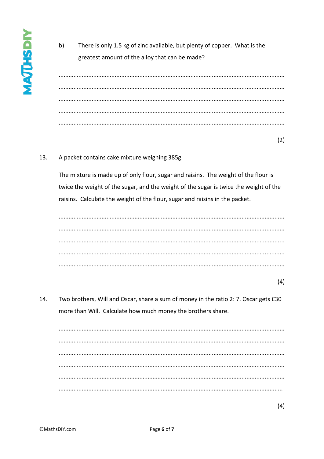$b)$ There is only 1.5 kg of zinc available, but plenty of copper. What is the greatest amount of the alloy that can be made?

 $(2)$ 

## 13. A packet contains cake mixture weighing 385g.

The mixture is made up of only flour, sugar and raisins. The weight of the flour is twice the weight of the sugar, and the weight of the sugar is twice the weight of the raisins. Calculate the weight of the flour, sugar and raisins in the packet.

14. Two brothers, Will and Oscar, share a sum of money in the ratio 2: 7. Oscar gets £30 more than Will. Calculate how much money the brothers share.